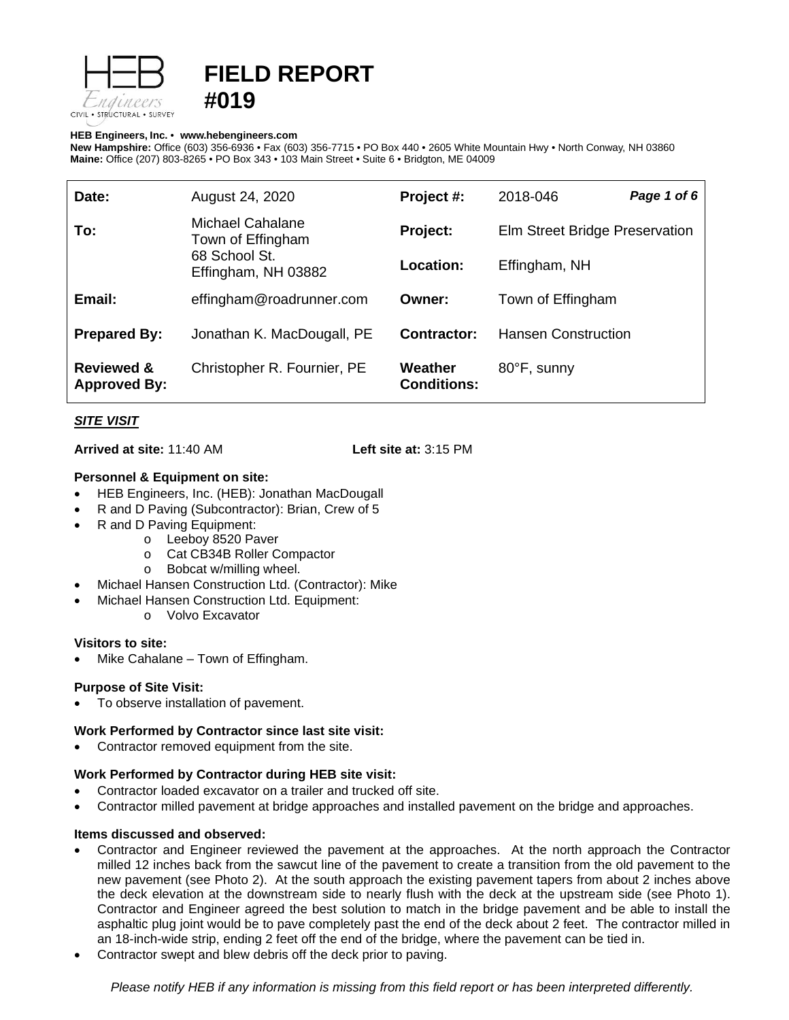

# **FIELD REPORT #019**

#### **HEB Engineers, Inc.** • **[www.hebengineer](http://www.hebengineers.com/)s.com**

**New Hampshire:** Office (603) 356-6936 • Fax (603) 356-7715 • PO Box 440 • 2605 White Mountain Hwy • North Conway, NH 03860 **Maine:** Office (207) 803-8265 • PO Box 343 • 103 Main Street • Suite 6 • Bridgton, ME 04009

| Date:                                        | August 24, 2020                                                               | Project #:                    | 2018-046                       | Page 1 of 6 |
|----------------------------------------------|-------------------------------------------------------------------------------|-------------------------------|--------------------------------|-------------|
| To:                                          | Michael Cahalane<br>Town of Effingham<br>68 School St.<br>Effingham, NH 03882 | Project:                      | Elm Street Bridge Preservation |             |
|                                              |                                                                               | Location:                     | Effingham, NH                  |             |
| Email:                                       | effingham@roadrunner.com                                                      | Owner:                        | Town of Effingham              |             |
| <b>Prepared By:</b>                          | Jonathan K. MacDougall, PE                                                    | Contractor:                   | <b>Hansen Construction</b>     |             |
| <b>Reviewed &amp;</b><br><b>Approved By:</b> | Christopher R. Fournier, PE                                                   | Weather<br><b>Conditions:</b> | 80°F, sunny                    |             |

## *SITE VISIT*

**Arrived at site:** 11:40 AM **Left site at:** 3:15 PM

### **Personnel & Equipment on site:**

- HEB Engineers, Inc. (HEB): Jonathan MacDougall
- R and D Paving (Subcontractor): Brian, Crew of 5
- R and D Paving Equipment:
	- o Leeboy 8520 Paver
	- o Cat CB34B Roller Compactor
	- o Bobcat w/milling wheel.
- Michael Hansen Construction Ltd. (Contractor): Mike
- Michael Hansen Construction Ltd. Equipment:
	- o Volvo Excavator

### **Visitors to site:**

Mike Cahalane – Town of Effingham.

### **Purpose of Site Visit:**

• To observe installation of pavement.

### **Work Performed by Contractor since last site visit:**

• Contractor removed equipment from the site.

### **Work Performed by Contractor during HEB site visit:**

- Contractor loaded excavator on a trailer and trucked off site.
- Contractor milled pavement at bridge approaches and installed pavement on the bridge and approaches.

### **Items discussed and observed:**

- Contractor and Engineer reviewed the pavement at the approaches. At the north approach the Contractor milled 12 inches back from the sawcut line of the pavement to create a transition from the old pavement to the new pavement (see Photo 2). At the south approach the existing pavement tapers from about 2 inches above the deck elevation at the downstream side to nearly flush with the deck at the upstream side (see Photo 1). Contractor and Engineer agreed the best solution to match in the bridge pavement and be able to install the asphaltic plug joint would be to pave completely past the end of the deck about 2 feet. The contractor milled in an 18-inch-wide strip, ending 2 feet off the end of the bridge, where the pavement can be tied in.
- Contractor swept and blew debris off the deck prior to paving.

*Please notify HEB if any information is missing from this field report or has been interpreted differently.*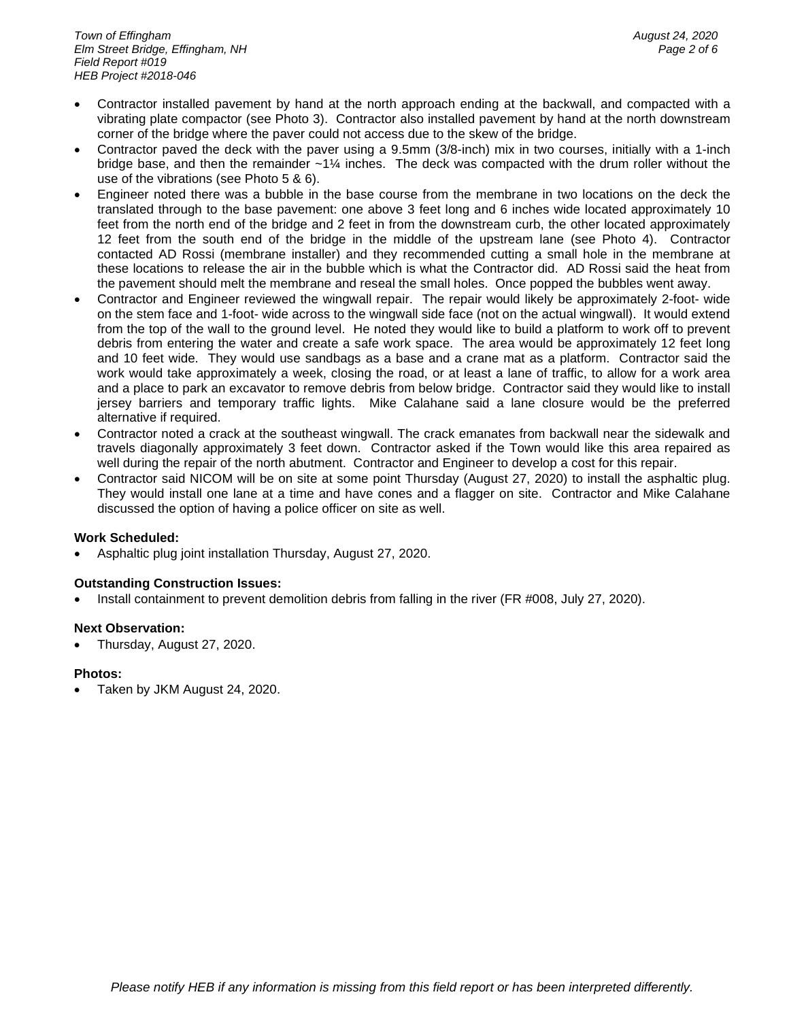- Contractor installed pavement by hand at the north approach ending at the backwall, and compacted with a vibrating plate compactor (see Photo 3). Contractor also installed pavement by hand at the north downstream corner of the bridge where the paver could not access due to the skew of the bridge.
- Contractor paved the deck with the paver using a 9.5mm (3/8-inch) mix in two courses, initially with a 1-inch bridge base, and then the remainder  $-1\frac{1}{4}$  inches. The deck was compacted with the drum roller without the use of the vibrations (see Photo 5 & 6).
- Engineer noted there was a bubble in the base course from the membrane in two locations on the deck the translated through to the base pavement: one above 3 feet long and 6 inches wide located approximately 10 feet from the north end of the bridge and 2 feet in from the downstream curb, the other located approximately 12 feet from the south end of the bridge in the middle of the upstream lane (see Photo 4). Contractor contacted AD Rossi (membrane installer) and they recommended cutting a small hole in the membrane at these locations to release the air in the bubble which is what the Contractor did. AD Rossi said the heat from the pavement should melt the membrane and reseal the small holes. Once popped the bubbles went away.
- Contractor and Engineer reviewed the wingwall repair. The repair would likely be approximately 2-foot- wide on the stem face and 1-foot- wide across to the wingwall side face (not on the actual wingwall). It would extend from the top of the wall to the ground level. He noted they would like to build a platform to work off to prevent debris from entering the water and create a safe work space. The area would be approximately 12 feet long and 10 feet wide. They would use sandbags as a base and a crane mat as a platform. Contractor said the work would take approximately a week, closing the road, or at least a lane of traffic, to allow for a work area and a place to park an excavator to remove debris from below bridge. Contractor said they would like to install jersey barriers and temporary traffic lights. Mike Calahane said a lane closure would be the preferred alternative if required.
- Contractor noted a crack at the southeast wingwall. The crack emanates from backwall near the sidewalk and travels diagonally approximately 3 feet down. Contractor asked if the Town would like this area repaired as well during the repair of the north abutment. Contractor and Engineer to develop a cost for this repair.
- Contractor said NICOM will be on site at some point Thursday (August 27, 2020) to install the asphaltic plug. They would install one lane at a time and have cones and a flagger on site. Contractor and Mike Calahane discussed the option of having a police officer on site as well.

### **Work Scheduled:**

• Asphaltic plug joint installation Thursday, August 27, 2020.

### **Outstanding Construction Issues:**

• Install containment to prevent demolition debris from falling in the river (FR #008, July 27, 2020).

### **Next Observation:**

• Thursday, August 27, 2020.

### **Photos:**

• Taken by JKM August 24, 2020.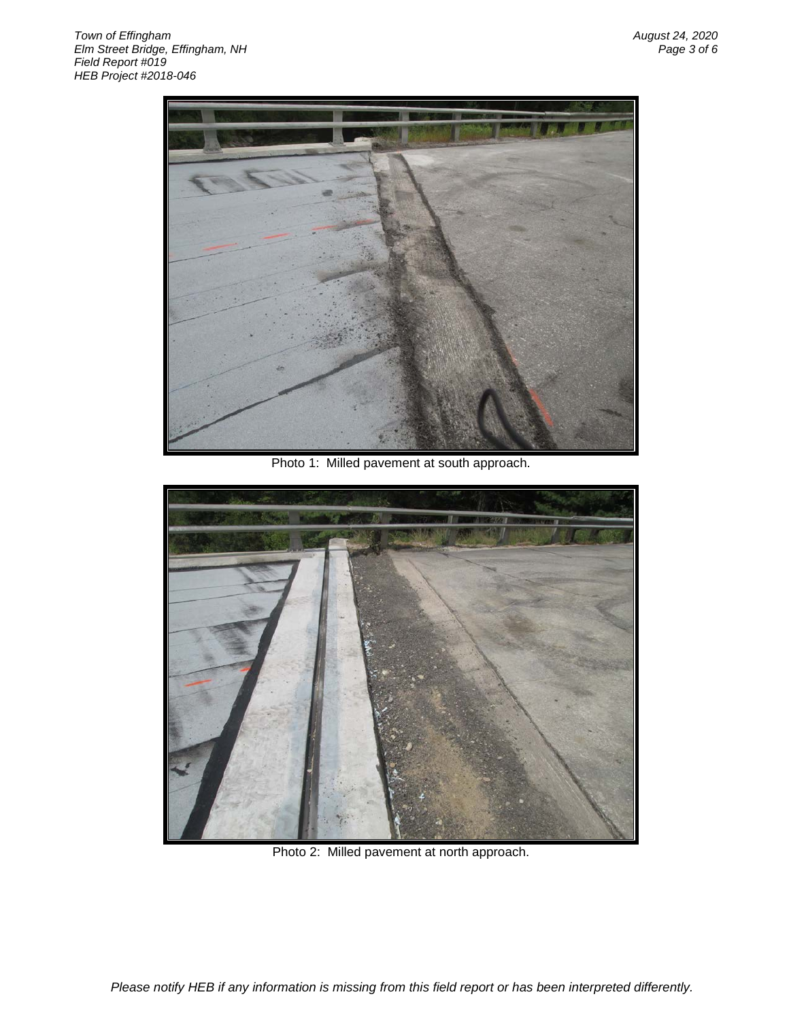

Photo 1: Milled pavement at south approach.



Photo 2: Milled pavement at north approach.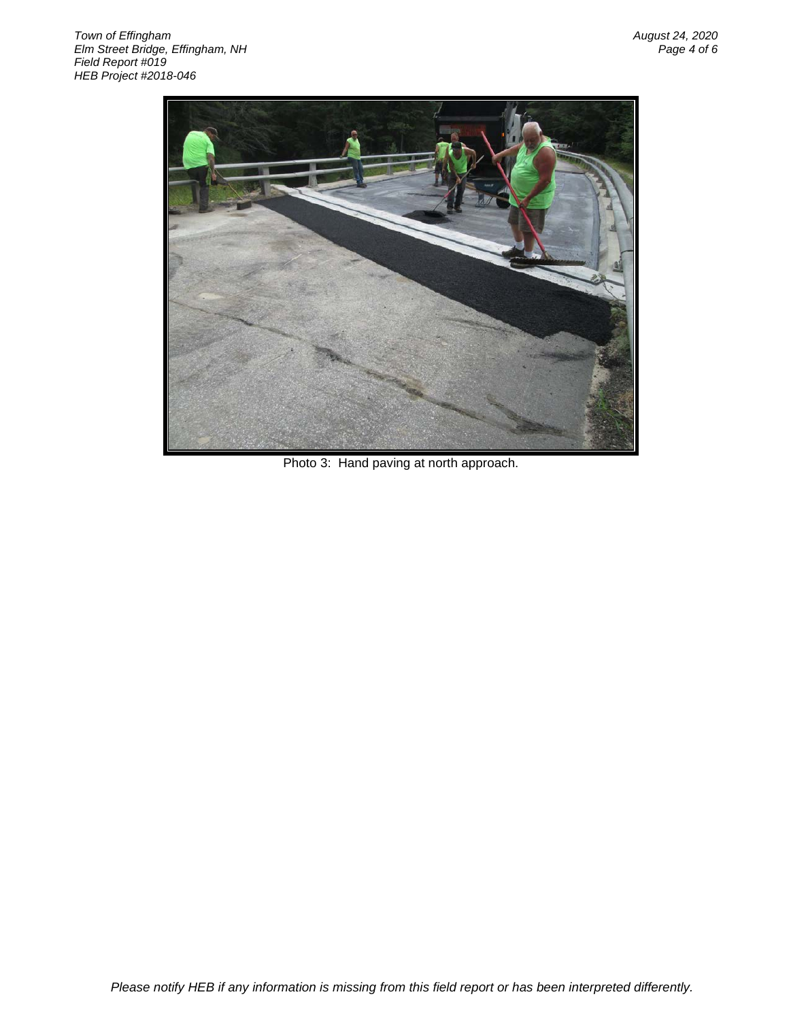

Photo 3: Hand paving at north approach.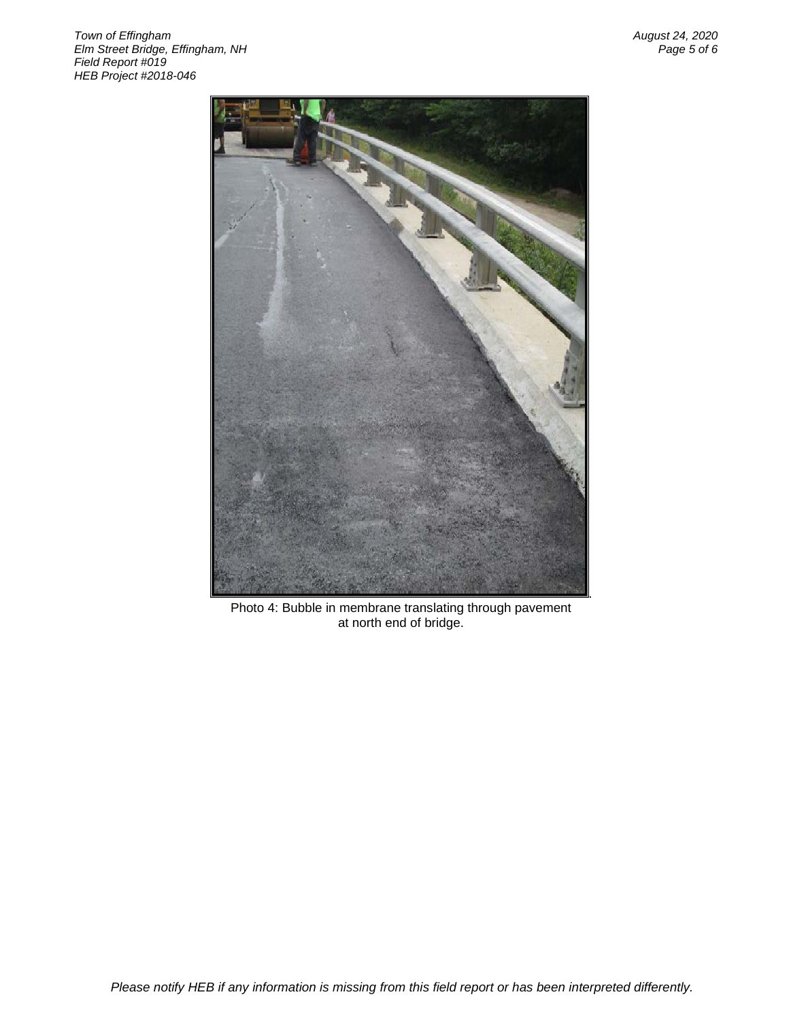

Photo 4: Bubble in membrane translating through pavement at north end of bridge.